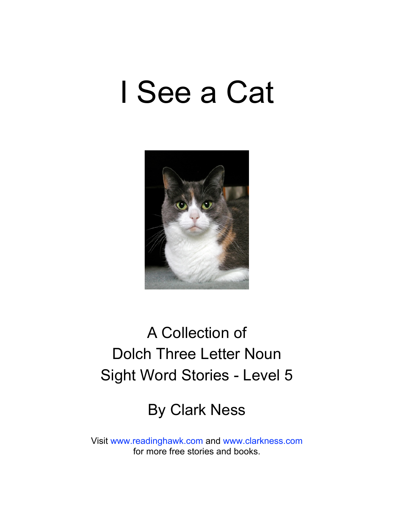# I See a Cat



## A Collection of Dolch Three Letter Noun Sight Word Stories - Level 5

## By Clark Ness

Visit [www.readinghawk.com](http://www.readinghawk.com) and [www.clarkness.com](http://www.clarkness.com) for more free stories and books.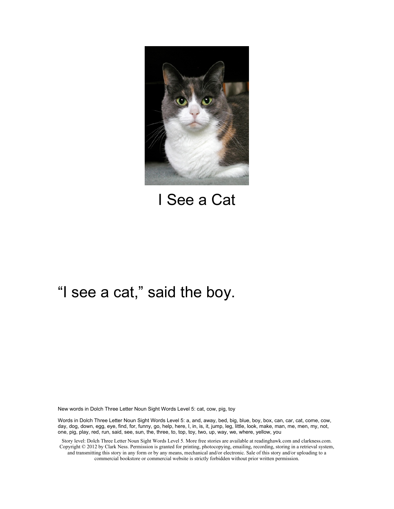

I See a Cat

#### "I see a cat," said the boy.

New words in Dolch Three Letter Noun Sight Words Level 5: cat, cow, pig, toy

Words in Dolch Three Letter Noun Sight Words Level 5: a, and, away, bed, big, blue, boy, box, can, car, cat, come, cow, day, dog, down, egg, eye, find, for, funny, go, help, here, I, in, is, it, jump, leg, little, look, make, man, me, men, my, not, one, pig, play, red, run, said, see, sun, the, three, to, top, toy, two, up, way, we, where, yellow, you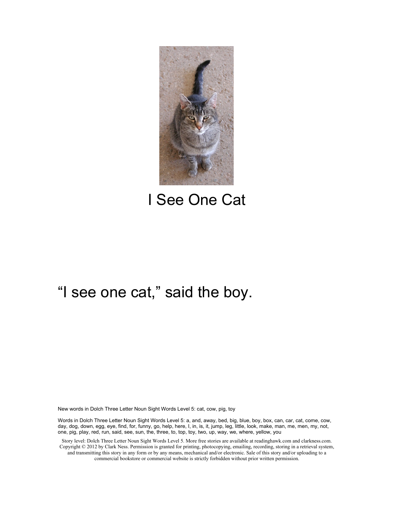

I See One Cat

#### "I see one cat," said the boy.

New words in Dolch Three Letter Noun Sight Words Level 5: cat, cow, pig, toy

Words in Dolch Three Letter Noun Sight Words Level 5: a, and, away, bed, big, blue, boy, box, can, car, cat, come, cow, day, dog, down, egg, eye, find, for, funny, go, help, here, I, in, is, it, jump, leg, little, look, make, man, me, men, my, not, one, pig, play, red, run, said, see, sun, the, three, to, top, toy, two, up, way, we, where, yellow, you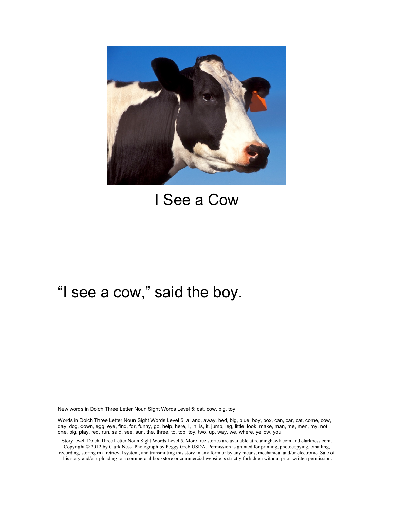

### I See a Cow

#### "I see a cow," said the boy.

New words in Dolch Three Letter Noun Sight Words Level 5: cat, cow, pig, toy

Words in Dolch Three Letter Noun Sight Words Level 5: a, and, away, bed, big, blue, boy, box, can, car, cat, come, cow, day, dog, down, egg, eye, find, for, funny, go, help, here, I, in, is, it, jump, leg, little, look, make, man, me, men, my, not, one, pig, play, red, run, said, see, sun, the, three, to, top, toy, two, up, way, we, where, yellow, you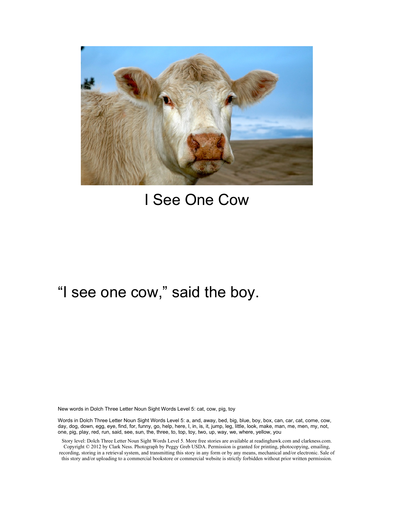

## I See One Cow

#### "I see one cow," said the boy.

New words in Dolch Three Letter Noun Sight Words Level 5: cat, cow, pig, toy

Words in Dolch Three Letter Noun Sight Words Level 5: a, and, away, bed, big, blue, boy, box, can, car, cat, come, cow, day, dog, down, egg, eye, find, for, funny, go, help, here, I, in, is, it, jump, leg, little, look, make, man, me, men, my, not, one, pig, play, red, run, said, see, sun, the, three, to, top, toy, two, up, way, we, where, yellow, you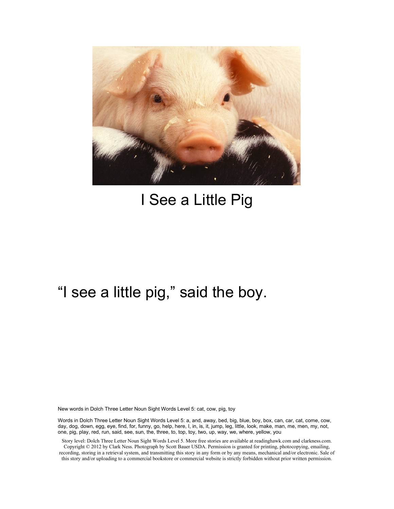

## I See a Little Pig

### "I see a little pig," said the boy.

New words in Dolch Three Letter Noun Sight Words Level 5: cat, cow, pig, toy

Words in Dolch Three Letter Noun Sight Words Level 5: a, and, away, bed, big, blue, boy, box, can, car, cat, come, cow, day, dog, down, egg, eye, find, for, funny, go, help, here, I, in, is, it, jump, leg, little, look, make, man, me, men, my, not, one, pig, play, red, run, said, see, sun, the, three, to, top, toy, two, up, way, we, where, yellow, you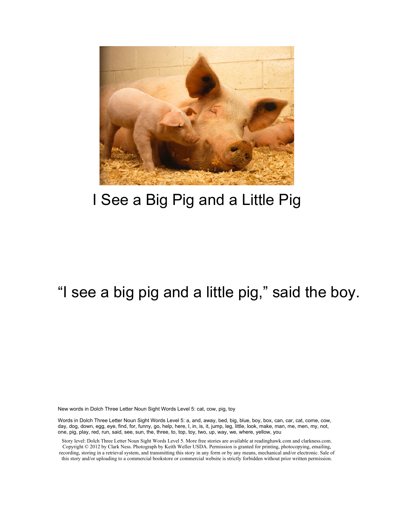

## I See a Big Pig and a Little Pig

### "I see a big pig and a little pig," said the boy.

New words in Dolch Three Letter Noun Sight Words Level 5: cat, cow, pig, toy

Words in Dolch Three Letter Noun Sight Words Level 5: a, and, away, bed, big, blue, boy, box, can, car, cat, come, cow, day, dog, down, egg, eye, find, for, funny, go, help, here, I, in, is, it, jump, leg, little, look, make, man, me, men, my, not, one, pig, play, red, run, said, see, sun, the, three, to, top, toy, two, up, way, we, where, yellow, you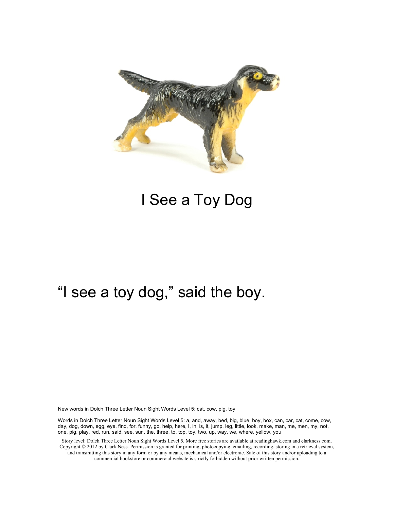

## I See a Toy Dog

### "I see a toy dog," said the boy.

New words in Dolch Three Letter Noun Sight Words Level 5: cat, cow, pig, toy

Words in Dolch Three Letter Noun Sight Words Level 5: a, and, away, bed, big, blue, boy, box, can, car, cat, come, cow, day, dog, down, egg, eye, find, for, funny, go, help, here, I, in, is, it, jump, leg, little, look, make, man, me, men, my, not, one, pig, play, red, run, said, see, sun, the, three, to, top, toy, two, up, way, we, where, yellow, you